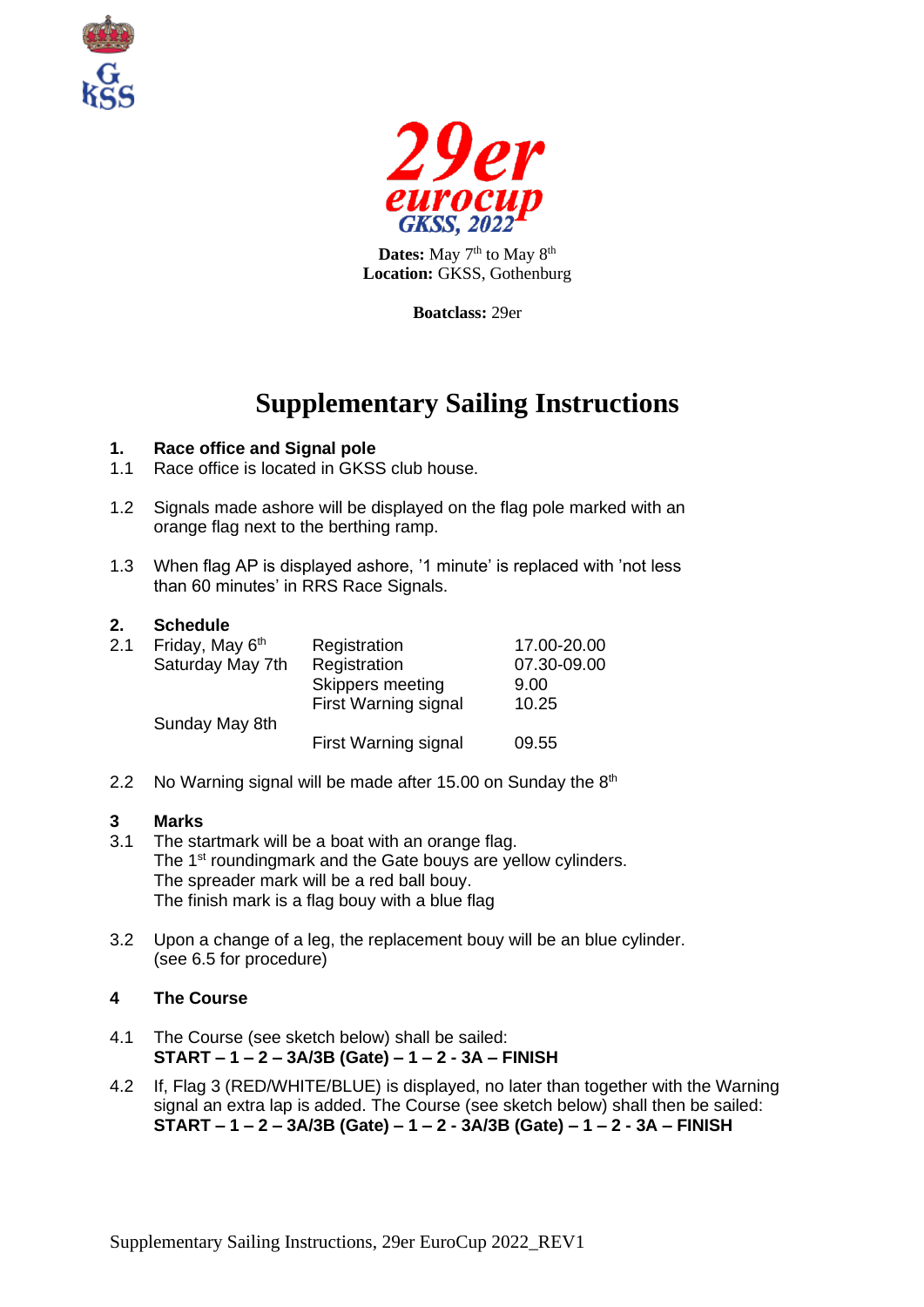



Dates: May 7<sup>th</sup> to May 8<sup>th</sup> **Location:** GKSS, Gothenburg

**Boatclass:** 29er

# **Supplementary Sailing Instructions**

# **1. Race office and Signal pole**

- 1.1 Race office is located in GKSS club house.
- 1.2 Signals made ashore will be displayed on the flag pole marked with an orange flag next to the berthing ramp.
- 1.3 When flag AP is displayed ashore, '1 minute' is replaced with 'not less than 60 minutes' in RRS Race Signals.

#### **2. Schedule**

| 2.1 | Friday, May 6 <sup>th</sup><br>Saturday May 7th | Registration<br>Registration<br>Skippers meeting    | 17.00-20.00<br>07.30-09.00<br>9.00 |
|-----|-------------------------------------------------|-----------------------------------------------------|------------------------------------|
|     | Sunday May 8th                                  | <b>First Warning signal</b><br>First Warning signal | 10.25<br>09.55                     |

2.2 No Warning signal will be made after 15.00 on Sunday the  $8<sup>th</sup>$ 

#### **3 Marks**

- 3.1 The startmark will be a boat with an orange flag. The 1<sup>st</sup> roundingmark and the Gate bouys are yellow cylinders. The spreader mark will be a red ball bouy. The finish mark is a flag bouy with a blue flag
- 3.2 Upon a change of a leg, the replacement bouy will be an blue cylinder. (see 6.5 for procedure)

# **4 The Course**

- 4.1 The Course (see sketch below) shall be sailed: **START – 1 – 2 – 3A/3B (Gate) – 1 – 2 - 3A – FINISH**
- 4.2 If, Flag 3 (RED/WHITE/BLUE) is displayed, no later than together with the Warning signal an extra lap is added. The Course (see sketch below) shall then be sailed: **START – 1 – 2 – 3A/3B (Gate) – 1 – 2 - 3A/3B (Gate) – 1 – 2 - 3A – FINISH**